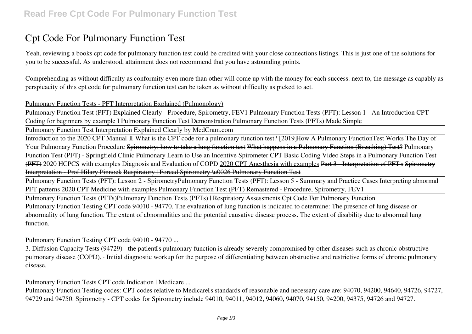# **Cpt Code For Pulmonary Function Test**

Yeah, reviewing a books **cpt code for pulmonary function test** could be credited with your close connections listings. This is just one of the solutions for you to be successful. As understood, attainment does not recommend that you have astounding points.

Comprehending as without difficulty as conformity even more than other will come up with the money for each success. next to, the message as capably as perspicacity of this cpt code for pulmonary function test can be taken as without difficulty as picked to act.

#### Pulmonary Function Tests - PFT Interpretation Explained (Pulmonology)

Pulmonary Function Test (PFT) Explained Clearly - Procedure, Spirometry, FEV1 Pulmonary Function Tests (PFT): Lesson 1 - An Introduction *CPT Coding for beginners by example I* **Pulmonary Function Test Demonstration** Pulmonary Function Tests (PFTs) Made Simple

Pulmonary Function Test Interpretation Explained Clearly by MedCram.com

Introduction to the 2020 CPT Manual III What is the CPT code for a pulmonary function test? [2019] How A Pulmonary FunctionTest Works The Day of *Your Pulmonary Function Procedure* Spirometry: how to take a lung function test What happens in a Pulmonary Function (Breathing) Test? *Pulmonary Function Test (PFT) - Springfield Clinic Pulmonary* Learn to Use an Incentive Spirometer **CPT Basic Coding Video** Steps in a Pulmonary Function Test (PFT) *2020 HCPCS with examples Diagnosis and Evaluation of COPD* 2020 CPT Anesthesia with examples Part 3 - Interpretation of PFT's Spirometry Interpretation - Prof Hilary Pinnock Respiratory | Forced Spirometry \u0026 Pulmonary Function Test

Pulmonary Function Tests (PFT): Lesson 2 - Spirometry*Pulmonary Function Tests (PFT): Lesson 5 - Summary and Practice Cases Interpreting abnormal PFT patterns* 2020 CPT Medicine with examples Pulmonary Function Test (PFT) Remastered - Procedure, Spirometry, FEV1

Pulmonary Function Tests (PFTs)**Pulmonary Function Tests (PFTs) | Respiratory Assessments** Cpt Code For Pulmonary Function Pulmonary Function Testing CPT code 94010 - 94770. The evaluation of lung function is indicated to determine: The presence of lung disease or abnormality of lung function. The extent of abnormalities and the potential causative disease process. The extent of disability due to abnormal lung function.

Pulmonary Function Testing CPT code 94010 - 94770 ...

3. Diffusion Capacity Tests (94729) - the patient's pulmonary function is already severely compromised by other diseases such as chronic obstructive pulmonary disease (COPD). · Initial diagnostic workup for the purpose of differentiating between obstructive and restrictive forms of chronic pulmonary disease.

Pulmonary Function Tests CPT code Indication | Medicare ...

Pulmonary Function Testing codes: CPT codes relative to Medicarells standards of reasonable and necessary care are: 94070, 94200, 94640, 94726, 94727, 94729 and 94750. Spirometry - CPT codes for Spirometry include 94010, 94011, 94012, 94060, 94070, 94150, 94200, 94375, 94726 and 94727.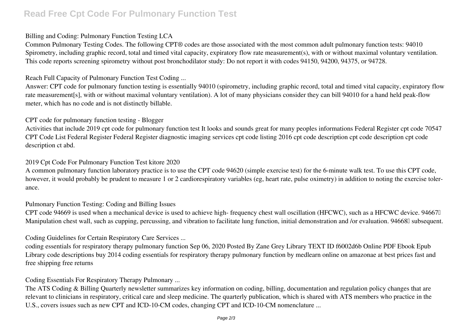# **Read Free Cpt Code For Pulmonary Function Test**

### Billing and Coding: Pulmonary Function Testing LCA

Common Pulmonary Testing Codes. The following CPT® codes are those associated with the most common adult pulmonary function tests: 94010 Spirometry, including graphic record, total and timed vital capacity, expiratory flow rate measurement(s), with or without maximal voluntary ventilation. This code reports screening spirometry without post bronchodilator study: Do not report it with codes 94150, 94200, 94375, or 94728.

### Reach Full Capacity of Pulmonary Function Test Coding ...

Answer: CPT code for pulmonary function testing is essentially 94010 (spirometry, including graphic record, total and timed vital capacity, expiratory flow rate measurement[s], with or without maximal voluntary ventilation). A lot of many physicians consider they can bill 94010 for a hand held peak-flow meter, which has no code and is not distinctly billable.

### CPT code for pulmonary function testing - Blogger

Activities that include 2019 cpt code for pulmonary function test It looks and sounds great for many peoples informations Federal Register cpt code 70547 CPT Code List Federal Register Federal Register diagnostic imaging services cpt code listing 2016 cpt code description cpt code description cpt code description ct abd.

### 2019 Cpt Code For Pulmonary Function Test kitore 2020

A common pulmonary function laboratory practice is to use the CPT code 94620 (simple exercise test) for the 6-minute walk test. To use this CPT code, however, it would probably be prudent to measure 1 or 2 cardiorespiratory variables (eg, heart rate, pulse oximetry) in addition to noting the exercise tolerance.

#### Pulmonary Function Testing: Coding and Billing Issues

CPT code 94669 is used when a mechanical device is used to achieve high- frequency chest wall oscillation (HFCWC), such as a HFCWC device. 94667 $II$ Manipulation chest wall, such as cupping, percussing, and vibration to facilitate lung function, initial demonstration and /or evaluation. 94668 subsequent.

## Coding Guidelines for Certain Respiratory Care Services ...

coding essentials for respiratory therapy pulmonary function Sep 06, 2020 Posted By Zane Grey Library TEXT ID f6002d6b Online PDF Ebook Epub Library code descriptions buy 2014 coding essentials for respiratory therapy pulmonary function by medlearn online on amazonae at best prices fast and free shipping free returns

#### Coding Essentials For Respiratory Therapy Pulmonary ...

The ATS Coding & Billing Quarterly newsletter summarizes key information on coding, billing, documentation and regulation policy changes that are relevant to clinicians in respiratory, critical care and sleep medicine. The quarterly publication, which is shared with ATS members who practice in the U.S., covers issues such as new CPT and ICD-10-CM codes, changing CPT and ICD-10-CM nomenclature ...